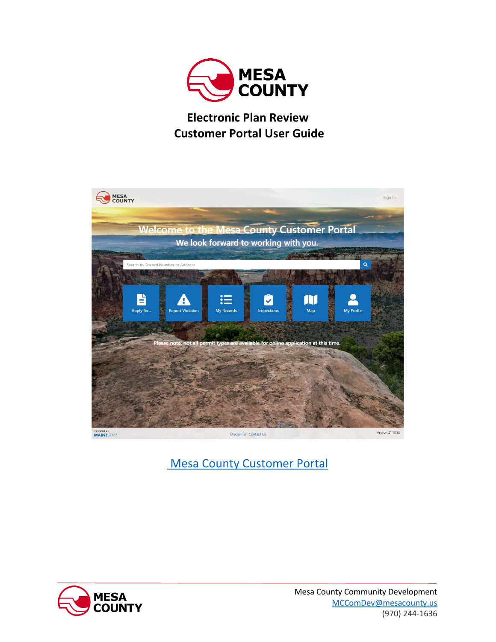

## **Electronic Plan Review Customer Portal User Guide**



[Mesa County Customer Portal](https://h9.maintstar.co/MesaCountyportal/#/)

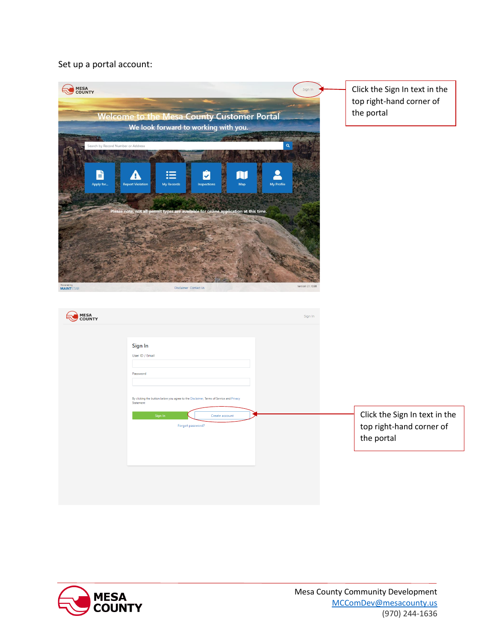## Set up a portal account:



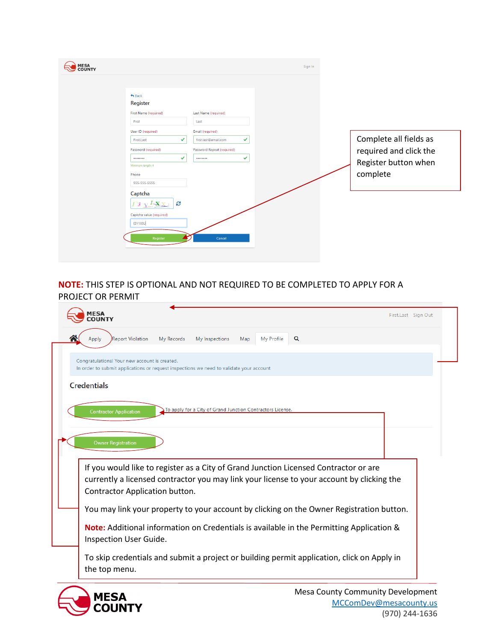| <b>MESA<br/>COUNTY</b>                                                                                                                                                                                                                                                                                                    |                                                                                                                                | Sign In |          |                                                                          |
|---------------------------------------------------------------------------------------------------------------------------------------------------------------------------------------------------------------------------------------------------------------------------------------------------------------------------|--------------------------------------------------------------------------------------------------------------------------------|---------|----------|--------------------------------------------------------------------------|
| $\bigstar$ Back<br>Register<br>First Name (required)<br>First<br>User ID (required)<br>$\checkmark$<br>First.Last<br>Password (required)<br>$\checkmark$<br><br>Minimum length: 4<br>Phone<br>555-555-5555<br>Captcha<br>G<br>$\mathbf{X}^I\mathbf{X}$<br>$\mathbf{3}$<br>Captcha value (required)<br>I3Y1XXJ<br>Register | Last Name (required)<br>Last<br>Email (required)<br>✓<br>first.last@email.com<br>Password Repeat (required)<br>✓<br><br>Cancel |         | complete | Complete all fields as<br>required and click the<br>Register button when |

## **NOTE:** THIS STEP IS OPTIONAL AND NOT REQUIRED TO BE COMPLETED TO APPLY FOR A PROJECT OR PERMIT

| <b>MESA</b><br><b>COUNTY</b>                  |                                                                                           |                   |   | First.Last Sign Out |
|-----------------------------------------------|-------------------------------------------------------------------------------------------|-------------------|---|---------------------|
| <b>Report Violation</b><br>Apply              | My Records<br>My Inspections                                                              | My Profile<br>Map | Q |                     |
| Congratulations! Your new account is created. | In order to submit applications or request inspections we need to validate your account   |                   |   |                     |
| <b>Credentials</b>                            |                                                                                           |                   |   |                     |
| <b>Contractor Application</b>                 | To apply for a City of Grand Junction Contractors License.                                |                   |   |                     |
|                                               |                                                                                           |                   |   |                     |
| <b>Owner Registration</b>                     |                                                                                           |                   |   |                     |
|                                               |                                                                                           |                   |   |                     |
|                                               | If you would like to register as a City of Grand Junction Licensed Contractor or are      |                   |   |                     |
| Contractor Application button.                | currently a licensed contractor you may link your license to your account by clicking the |                   |   |                     |
|                                               | You may link your property to your account by clicking on the Owner Registration button.  |                   |   |                     |
| Inspection User Guide.                        | Note: Additional information on Credentials is available in the Permitting Application &  |                   |   |                     |

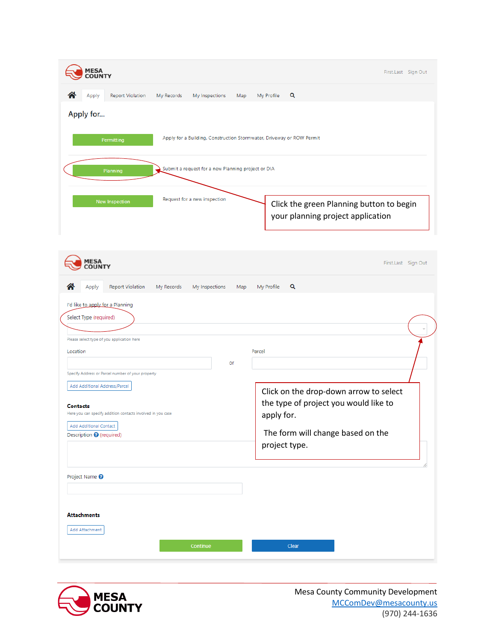| <b>MESA<br/>COUNTY</b>                                                              | First.Last Sign Out                                                           |
|-------------------------------------------------------------------------------------|-------------------------------------------------------------------------------|
| <b>Report Violation</b><br>My Records<br>My Inspections<br>Apply<br>Map             | Q<br>My Profile                                                               |
| Apply for                                                                           |                                                                               |
| Apply for a Building, Construction Stormwater, Driveway or ROW Permit<br>Permitting |                                                                               |
| Submit a request for a new Planning project or DIA<br>Planning                      |                                                                               |
| Request for a new inspection<br>New Inspection                                      | Click the green Planning button to begin<br>your planning project application |

| <b>MESA</b><br><b>COUNTY</b>                                                                                                                                                                                                                                                                                                                                               | First.Last Sign Out                                                                                                                                           |
|----------------------------------------------------------------------------------------------------------------------------------------------------------------------------------------------------------------------------------------------------------------------------------------------------------------------------------------------------------------------------|---------------------------------------------------------------------------------------------------------------------------------------------------------------|
| <b>Report Violation</b><br>My Records<br>Apply<br>My Inspections<br>Map                                                                                                                                                                                                                                                                                                    | Q<br>My Profile                                                                                                                                               |
| I'd like to apply for a Planning<br>Select Type (required)<br>Please select type of you application here<br>Location<br>or<br>Specify Address or Parcel number of your property<br>Add Additional Address/Parcel<br><b>Contacts</b><br>Here you can specify addition contacts involved in you case<br><b>Add Additional Contact</b><br>Description <sup>O</sup> (required) | Parcel<br>Click on the drop-down arrow to select<br>the type of project you would like to<br>apply for.<br>The form will change based on the<br>project type. |
| Project Name <sup>?</sup><br><b>Attachments</b><br>Add Attachment<br>Continue                                                                                                                                                                                                                                                                                              | Clear                                                                                                                                                         |

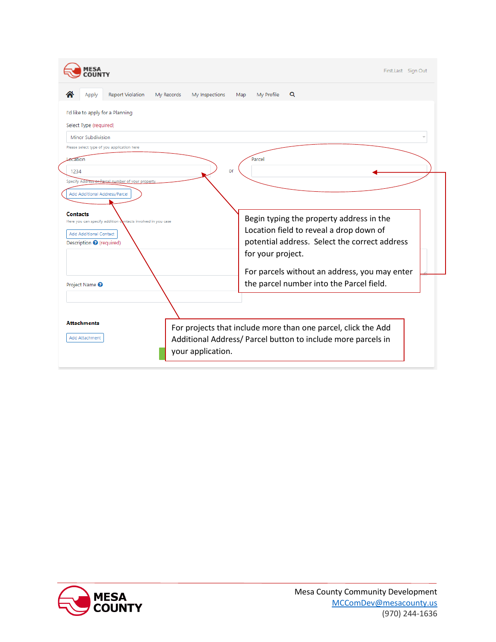|                                                                                                                                                                                                              | First.Last Sign Out                                                                                                                                       |
|--------------------------------------------------------------------------------------------------------------------------------------------------------------------------------------------------------------|-----------------------------------------------------------------------------------------------------------------------------------------------------------|
| <b>Report Violation</b><br>My Records<br>Apply<br>My Inspections                                                                                                                                             | Q<br>My Profile<br>Map                                                                                                                                    |
| I'd like to apply for a Planning<br>Select Type (required)<br>Minor Subdivision<br>Please select type of you application here<br>Lecation<br>or<br>1234<br>Specify Address or Parcel number of your property | Parcel                                                                                                                                                    |
| Add Additional Address/Parcel<br>Contacts<br>Here you can specify addition contacts involved in you case<br>Add Additional Contact<br>Description <sup>O</sup> (required)                                    | Begin typing the property address in the<br>Location field to reveal a drop down of<br>potential address. Select the correct address<br>for your project. |
| Project Name <sup>0</sup>                                                                                                                                                                                    | For parcels without an address, you may enter<br>the parcel number into the Parcel field.                                                                 |
| <b>Attachments</b><br>Add Attachment<br>your application.                                                                                                                                                    | For projects that include more than one parcel, click the Add<br>Additional Address/ Parcel button to include more parcels in                             |

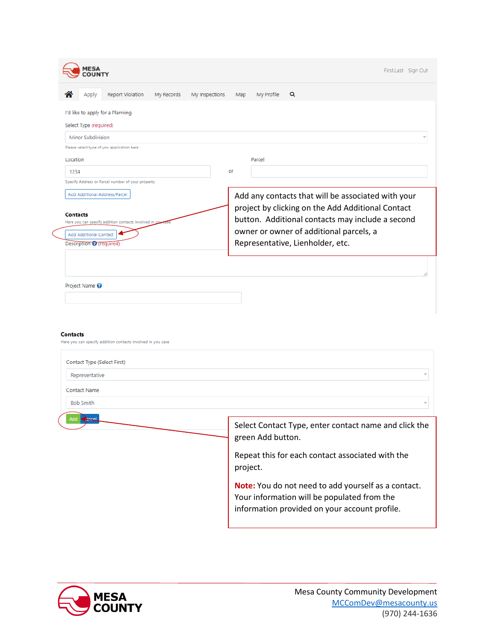|                                                                                                               | First.Last Sign Out                                                                                                                        |
|---------------------------------------------------------------------------------------------------------------|--------------------------------------------------------------------------------------------------------------------------------------------|
| <b>Report Violation</b><br>My Records<br>My Inspections<br>Apply                                              | Q<br>My Profile<br>Map                                                                                                                     |
| I'd like to apply for a Planning                                                                              |                                                                                                                                            |
| Select Type (required)                                                                                        |                                                                                                                                            |
| Minor Subdivision                                                                                             |                                                                                                                                            |
| Please select type of you application here                                                                    |                                                                                                                                            |
| Location                                                                                                      | Parcel                                                                                                                                     |
| 1234                                                                                                          | or                                                                                                                                         |
| Specify Address or Parcel number of your property                                                             |                                                                                                                                            |
| Add Additional Address/Parcel                                                                                 | Add any contacts that will be associated with your                                                                                         |
|                                                                                                               | project by clicking on the Add Additional Contact                                                                                          |
| <b>Contacts</b><br>Here you can specify addition contacts involved in                                         | button. Additional contacts may include a second                                                                                           |
| <b>Add Additional Contact</b>                                                                                 | owner or owner of additional parcels, a                                                                                                    |
| Description <i>Q</i> (required)                                                                               | Representative, Lienholder, etc.                                                                                                           |
| <b>Contacts</b><br>Here you can specify addition contacts involved in you case<br>Contact Type (Select First) |                                                                                                                                            |
|                                                                                                               |                                                                                                                                            |
| Representative                                                                                                |                                                                                                                                            |
| <b>Contact Name</b>                                                                                           |                                                                                                                                            |
| <b>Bob Smith</b>                                                                                              |                                                                                                                                            |
|                                                                                                               | Select Contact Type, enter contact name and click the<br>green Add button.<br>Repeat this for each contact associated with the<br>project. |

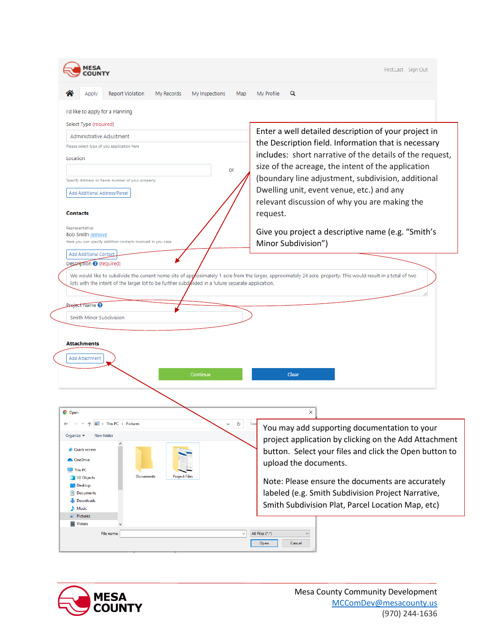| <b>Report Violation</b><br>My Profile<br>Q<br>Apply<br>My Records<br>My Inspections<br>Map<br>I'd like to apply for a Planning<br>Select Type (required)<br>Enter a well detailed description of your project in<br>Administrative Adjustment<br>the Description field. Information that is necessary<br>Please select type of you application here<br>includes: short narrative of the details of the request,<br>Location<br>size of the acreage, the intent of the application<br>or<br>(boundary line adjustment, subdivision, additional<br>Specify Address or Parcel number of your property<br>Dwelling unit, event venue, etc.) and any<br>Add Additional Address/Parcel<br>relevant discussion of why you are making the<br><b>Contacts</b><br>request.<br>Representative<br>Give you project a descriptive name (e.g. "Smith's<br><b>Bob Smith remove</b><br>Here you can specify addition contacts involved in you case<br>Minor Subdivision")<br><b>Add Additional Contact</b><br>Description @ (required)<br>We would like to subdivide the current home site of approximately 1 acre from the larger, approximately 24 acre, property. This would result in a total of two<br>lots with the intent of the larger lot to be further subdivided in a future separate application.<br><b>Project Name @</b><br>Smith Minor Subdivision<br><b>Attachments</b><br><b>Add Attachment</b><br>Continue<br>Clear<br><b>O</b> Open<br>×<br>$\blacktriangleright$ This PC $\blacktriangleright$ Pictures<br>Ō<br>$\checkmark$<br>Sea<br>You may add supporting documentation to your<br>Organize $\blacktriangleright$<br>New folder<br>project application by clicking on the Add Attachment<br><b>Cuick access</b><br>button. Select your files and click the Open button to<br><b>OneDrive</b><br>upload the documents.<br>$\Box$ This PC<br>Documents<br><b>Project Files</b><br>3D Objects<br>Note: Please ensure the documents are accurately<br><b>Desktop</b><br>labeled (e.g. Smith Subdivision Project Narrative,<br><b>El Documents</b><br>Downloads<br>Smith Subdivision Plat, Parcel Location Map, etc)<br>Music<br>Pictures<br>Videos<br>All Files (*.*)<br>$\checkmark$<br>File name:<br>$\checkmark$ | First.Last Sign Out |
|-------------------------------------------------------------------------------------------------------------------------------------------------------------------------------------------------------------------------------------------------------------------------------------------------------------------------------------------------------------------------------------------------------------------------------------------------------------------------------------------------------------------------------------------------------------------------------------------------------------------------------------------------------------------------------------------------------------------------------------------------------------------------------------------------------------------------------------------------------------------------------------------------------------------------------------------------------------------------------------------------------------------------------------------------------------------------------------------------------------------------------------------------------------------------------------------------------------------------------------------------------------------------------------------------------------------------------------------------------------------------------------------------------------------------------------------------------------------------------------------------------------------------------------------------------------------------------------------------------------------------------------------------------------------------------------------------------------------------------------------------------------------------------------------------------------------------------------------------------------------------------------------------------------------------------------------------------------------------------------------------------------------------------------------------------------------------------------------------------------------------------------------------------------------------------------------------------------------------|---------------------|
|                                                                                                                                                                                                                                                                                                                                                                                                                                                                                                                                                                                                                                                                                                                                                                                                                                                                                                                                                                                                                                                                                                                                                                                                                                                                                                                                                                                                                                                                                                                                                                                                                                                                                                                                                                                                                                                                                                                                                                                                                                                                                                                                                                                                                         |                     |
|                                                                                                                                                                                                                                                                                                                                                                                                                                                                                                                                                                                                                                                                                                                                                                                                                                                                                                                                                                                                                                                                                                                                                                                                                                                                                                                                                                                                                                                                                                                                                                                                                                                                                                                                                                                                                                                                                                                                                                                                                                                                                                                                                                                                                         |                     |
|                                                                                                                                                                                                                                                                                                                                                                                                                                                                                                                                                                                                                                                                                                                                                                                                                                                                                                                                                                                                                                                                                                                                                                                                                                                                                                                                                                                                                                                                                                                                                                                                                                                                                                                                                                                                                                                                                                                                                                                                                                                                                                                                                                                                                         |                     |
|                                                                                                                                                                                                                                                                                                                                                                                                                                                                                                                                                                                                                                                                                                                                                                                                                                                                                                                                                                                                                                                                                                                                                                                                                                                                                                                                                                                                                                                                                                                                                                                                                                                                                                                                                                                                                                                                                                                                                                                                                                                                                                                                                                                                                         |                     |
|                                                                                                                                                                                                                                                                                                                                                                                                                                                                                                                                                                                                                                                                                                                                                                                                                                                                                                                                                                                                                                                                                                                                                                                                                                                                                                                                                                                                                                                                                                                                                                                                                                                                                                                                                                                                                                                                                                                                                                                                                                                                                                                                                                                                                         |                     |
|                                                                                                                                                                                                                                                                                                                                                                                                                                                                                                                                                                                                                                                                                                                                                                                                                                                                                                                                                                                                                                                                                                                                                                                                                                                                                                                                                                                                                                                                                                                                                                                                                                                                                                                                                                                                                                                                                                                                                                                                                                                                                                                                                                                                                         |                     |
|                                                                                                                                                                                                                                                                                                                                                                                                                                                                                                                                                                                                                                                                                                                                                                                                                                                                                                                                                                                                                                                                                                                                                                                                                                                                                                                                                                                                                                                                                                                                                                                                                                                                                                                                                                                                                                                                                                                                                                                                                                                                                                                                                                                                                         |                     |
|                                                                                                                                                                                                                                                                                                                                                                                                                                                                                                                                                                                                                                                                                                                                                                                                                                                                                                                                                                                                                                                                                                                                                                                                                                                                                                                                                                                                                                                                                                                                                                                                                                                                                                                                                                                                                                                                                                                                                                                                                                                                                                                                                                                                                         |                     |
|                                                                                                                                                                                                                                                                                                                                                                                                                                                                                                                                                                                                                                                                                                                                                                                                                                                                                                                                                                                                                                                                                                                                                                                                                                                                                                                                                                                                                                                                                                                                                                                                                                                                                                                                                                                                                                                                                                                                                                                                                                                                                                                                                                                                                         |                     |
|                                                                                                                                                                                                                                                                                                                                                                                                                                                                                                                                                                                                                                                                                                                                                                                                                                                                                                                                                                                                                                                                                                                                                                                                                                                                                                                                                                                                                                                                                                                                                                                                                                                                                                                                                                                                                                                                                                                                                                                                                                                                                                                                                                                                                         |                     |
|                                                                                                                                                                                                                                                                                                                                                                                                                                                                                                                                                                                                                                                                                                                                                                                                                                                                                                                                                                                                                                                                                                                                                                                                                                                                                                                                                                                                                                                                                                                                                                                                                                                                                                                                                                                                                                                                                                                                                                                                                                                                                                                                                                                                                         |                     |
|                                                                                                                                                                                                                                                                                                                                                                                                                                                                                                                                                                                                                                                                                                                                                                                                                                                                                                                                                                                                                                                                                                                                                                                                                                                                                                                                                                                                                                                                                                                                                                                                                                                                                                                                                                                                                                                                                                                                                                                                                                                                                                                                                                                                                         |                     |
|                                                                                                                                                                                                                                                                                                                                                                                                                                                                                                                                                                                                                                                                                                                                                                                                                                                                                                                                                                                                                                                                                                                                                                                                                                                                                                                                                                                                                                                                                                                                                                                                                                                                                                                                                                                                                                                                                                                                                                                                                                                                                                                                                                                                                         |                     |
|                                                                                                                                                                                                                                                                                                                                                                                                                                                                                                                                                                                                                                                                                                                                                                                                                                                                                                                                                                                                                                                                                                                                                                                                                                                                                                                                                                                                                                                                                                                                                                                                                                                                                                                                                                                                                                                                                                                                                                                                                                                                                                                                                                                                                         |                     |
|                                                                                                                                                                                                                                                                                                                                                                                                                                                                                                                                                                                                                                                                                                                                                                                                                                                                                                                                                                                                                                                                                                                                                                                                                                                                                                                                                                                                                                                                                                                                                                                                                                                                                                                                                                                                                                                                                                                                                                                                                                                                                                                                                                                                                         |                     |
|                                                                                                                                                                                                                                                                                                                                                                                                                                                                                                                                                                                                                                                                                                                                                                                                                                                                                                                                                                                                                                                                                                                                                                                                                                                                                                                                                                                                                                                                                                                                                                                                                                                                                                                                                                                                                                                                                                                                                                                                                                                                                                                                                                                                                         |                     |
|                                                                                                                                                                                                                                                                                                                                                                                                                                                                                                                                                                                                                                                                                                                                                                                                                                                                                                                                                                                                                                                                                                                                                                                                                                                                                                                                                                                                                                                                                                                                                                                                                                                                                                                                                                                                                                                                                                                                                                                                                                                                                                                                                                                                                         |                     |
|                                                                                                                                                                                                                                                                                                                                                                                                                                                                                                                                                                                                                                                                                                                                                                                                                                                                                                                                                                                                                                                                                                                                                                                                                                                                                                                                                                                                                                                                                                                                                                                                                                                                                                                                                                                                                                                                                                                                                                                                                                                                                                                                                                                                                         |                     |
|                                                                                                                                                                                                                                                                                                                                                                                                                                                                                                                                                                                                                                                                                                                                                                                                                                                                                                                                                                                                                                                                                                                                                                                                                                                                                                                                                                                                                                                                                                                                                                                                                                                                                                                                                                                                                                                                                                                                                                                                                                                                                                                                                                                                                         |                     |
|                                                                                                                                                                                                                                                                                                                                                                                                                                                                                                                                                                                                                                                                                                                                                                                                                                                                                                                                                                                                                                                                                                                                                                                                                                                                                                                                                                                                                                                                                                                                                                                                                                                                                                                                                                                                                                                                                                                                                                                                                                                                                                                                                                                                                         |                     |
|                                                                                                                                                                                                                                                                                                                                                                                                                                                                                                                                                                                                                                                                                                                                                                                                                                                                                                                                                                                                                                                                                                                                                                                                                                                                                                                                                                                                                                                                                                                                                                                                                                                                                                                                                                                                                                                                                                                                                                                                                                                                                                                                                                                                                         |                     |
|                                                                                                                                                                                                                                                                                                                                                                                                                                                                                                                                                                                                                                                                                                                                                                                                                                                                                                                                                                                                                                                                                                                                                                                                                                                                                                                                                                                                                                                                                                                                                                                                                                                                                                                                                                                                                                                                                                                                                                                                                                                                                                                                                                                                                         |                     |
|                                                                                                                                                                                                                                                                                                                                                                                                                                                                                                                                                                                                                                                                                                                                                                                                                                                                                                                                                                                                                                                                                                                                                                                                                                                                                                                                                                                                                                                                                                                                                                                                                                                                                                                                                                                                                                                                                                                                                                                                                                                                                                                                                                                                                         |                     |
|                                                                                                                                                                                                                                                                                                                                                                                                                                                                                                                                                                                                                                                                                                                                                                                                                                                                                                                                                                                                                                                                                                                                                                                                                                                                                                                                                                                                                                                                                                                                                                                                                                                                                                                                                                                                                                                                                                                                                                                                                                                                                                                                                                                                                         |                     |
|                                                                                                                                                                                                                                                                                                                                                                                                                                                                                                                                                                                                                                                                                                                                                                                                                                                                                                                                                                                                                                                                                                                                                                                                                                                                                                                                                                                                                                                                                                                                                                                                                                                                                                                                                                                                                                                                                                                                                                                                                                                                                                                                                                                                                         |                     |
|                                                                                                                                                                                                                                                                                                                                                                                                                                                                                                                                                                                                                                                                                                                                                                                                                                                                                                                                                                                                                                                                                                                                                                                                                                                                                                                                                                                                                                                                                                                                                                                                                                                                                                                                                                                                                                                                                                                                                                                                                                                                                                                                                                                                                         |                     |
|                                                                                                                                                                                                                                                                                                                                                                                                                                                                                                                                                                                                                                                                                                                                                                                                                                                                                                                                                                                                                                                                                                                                                                                                                                                                                                                                                                                                                                                                                                                                                                                                                                                                                                                                                                                                                                                                                                                                                                                                                                                                                                                                                                                                                         |                     |
|                                                                                                                                                                                                                                                                                                                                                                                                                                                                                                                                                                                                                                                                                                                                                                                                                                                                                                                                                                                                                                                                                                                                                                                                                                                                                                                                                                                                                                                                                                                                                                                                                                                                                                                                                                                                                                                                                                                                                                                                                                                                                                                                                                                                                         |                     |
|                                                                                                                                                                                                                                                                                                                                                                                                                                                                                                                                                                                                                                                                                                                                                                                                                                                                                                                                                                                                                                                                                                                                                                                                                                                                                                                                                                                                                                                                                                                                                                                                                                                                                                                                                                                                                                                                                                                                                                                                                                                                                                                                                                                                                         |                     |
|                                                                                                                                                                                                                                                                                                                                                                                                                                                                                                                                                                                                                                                                                                                                                                                                                                                                                                                                                                                                                                                                                                                                                                                                                                                                                                                                                                                                                                                                                                                                                                                                                                                                                                                                                                                                                                                                                                                                                                                                                                                                                                                                                                                                                         |                     |
| Open<br>Cancel                                                                                                                                                                                                                                                                                                                                                                                                                                                                                                                                                                                                                                                                                                                                                                                                                                                                                                                                                                                                                                                                                                                                                                                                                                                                                                                                                                                                                                                                                                                                                                                                                                                                                                                                                                                                                                                                                                                                                                                                                                                                                                                                                                                                          |                     |

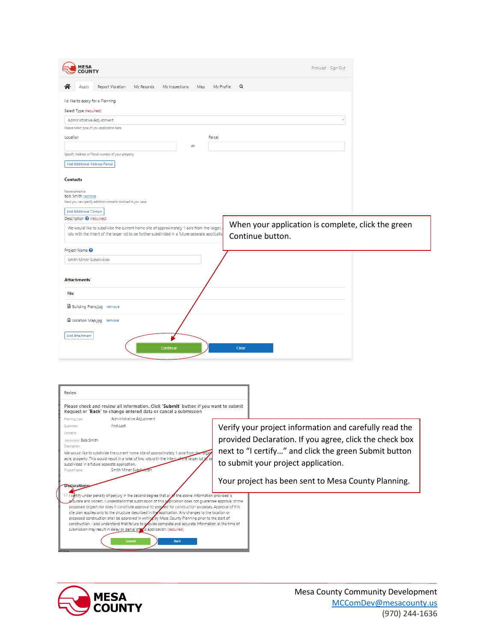| <b>MESA</b><br><b>COUNTY</b>                                                                                                                                                                                                        | First.Last Sign Out                                                    |
|-------------------------------------------------------------------------------------------------------------------------------------------------------------------------------------------------------------------------------------|------------------------------------------------------------------------|
| <b>Report Violation</b><br>My Records<br>My Inspections<br>Map<br>Annly                                                                                                                                                             | My Profile<br>Q                                                        |
| I'd like to apply for a Planning<br>Select Type (required)<br>Administrative Adjustment<br>Please select type of you application here<br>Location<br>or                                                                             | $\overline{\mathbf{v}}$<br>Parcel                                      |
| Specify Address or Parcel number of your property<br>Add Additional Address/Parcel<br><b>Contacts</b>                                                                                                                               |                                                                        |
| Representative<br><b>Bob Smith remove</b><br>Here you can specify addition contacts involved in you case<br>Add Additional Contact                                                                                                  |                                                                        |
| Description <sup>O</sup> (required)<br>We would like to subdivide the current home site of approximately 1 acre from the larger,<br>lots with the intent of the larger lot to be further subdivided in a future separate applicatio | When your application is complete, click the green<br>Continue button. |
| Project Name <sup>@</sup><br>Smith Minor Subdivision<br><b>Attachments</b>                                                                                                                                                          |                                                                        |
| File                                                                                                                                                                                                                                |                                                                        |
| <b>B</b> Building Plans.jpg remove                                                                                                                                                                                                  |                                                                        |
| D Location Map.jpg remove                                                                                                                                                                                                           |                                                                        |
| Add Attachment<br>Continue                                                                                                                                                                                                          | Clear                                                                  |
|                                                                                                                                                                                                                                     |                                                                        |
| Review<br>Please check and review all information. Click 'Submit' button if you want to submit<br>Request or 'Back' to change entered data or cancel a submission                                                                   |                                                                        |
| Administrative Adjustment<br>Planning type:                                                                                                                                                                                         |                                                                        |
| First.Last<br>Submitter<br>Contacts:                                                                                                                                                                                                | Verify your project information and carefully read the                 |
| <b>Nepresentative Bob Smith</b>                                                                                                                                                                                                     | provided Declaration. If you agree, click the check box                |
| Description:<br>We would like to subdivide the current home site of approximately 1 acre from the<br><b>Farge</b>                                                                                                                   | next to "I certify" and click the green Submit button                  |
| acre, property. This would result in a total of two lots with the intent of the larger lot to                                                                                                                                       |                                                                        |

**Poclarations**<br> **Examples of the second degree that all of the above information provided is**<br>
scurved and correct. I understand that submission of this application does not guarantee approval of the<br>
proposed crigitative



construction. I also understand that failure to provide complete and accurate information at the time of submission may result in delay or denial of  $\mathbf{g}_s$  application. (required)

**Jecl**arations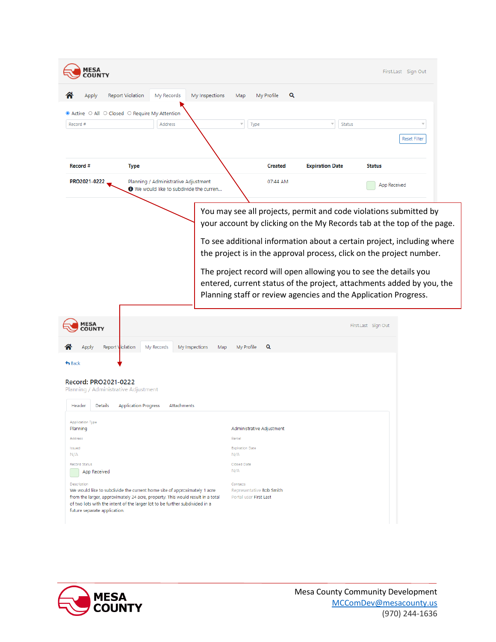| <b>MESA</b><br><b>OUNTY</b>                                                                                                                                                                                                                                                                              | First.Last Sign Out                                                                                                                                                                                          |
|----------------------------------------------------------------------------------------------------------------------------------------------------------------------------------------------------------------------------------------------------------------------------------------------------------|--------------------------------------------------------------------------------------------------------------------------------------------------------------------------------------------------------------|
| <b>Report Violation</b><br>My Records<br>My Inspections<br>Apply                                                                                                                                                                                                                                         | Q<br>My Profile<br>Map                                                                                                                                                                                       |
| ● Active ○ All ○ Closed ○ Require My Attention                                                                                                                                                                                                                                                           |                                                                                                                                                                                                              |
| Record #<br>Address                                                                                                                                                                                                                                                                                      | $\overline{\psi}$<br>Type<br><b>Status</b>                                                                                                                                                                   |
|                                                                                                                                                                                                                                                                                                          | <b>Reset Filter</b>                                                                                                                                                                                          |
| Record #<br><b>Type</b>                                                                                                                                                                                                                                                                                  | <b>Created</b><br><b>Expiration Date</b><br><b>Status</b>                                                                                                                                                    |
| PRO2021-0222<br>Planning / Administrative Adjustment<br><b>O</b> We would like to subdivide the curren                                                                                                                                                                                                   | 07:44 AM<br>App Received                                                                                                                                                                                     |
|                                                                                                                                                                                                                                                                                                          | You may see all projects, permit and code violations submitted by<br>your account by clicking on the My Records tab at the top of the page.                                                                  |
|                                                                                                                                                                                                                                                                                                          | To see additional information about a certain project, including where<br>the project is in the approval process, click on the project number.                                                               |
|                                                                                                                                                                                                                                                                                                          | The project record will open allowing you to see the details you<br>entered, current status of the project, attachments added by you, the<br>Planning staff or review agencies and the Application Progress. |
| <b>MESA</b><br><b>COUNTY</b>                                                                                                                                                                                                                                                                             | First.Last Sign Out                                                                                                                                                                                          |
| Report Violation<br>My Records<br>My Inspections<br>Apply                                                                                                                                                                                                                                                | My Profile<br>Q<br>Map                                                                                                                                                                                       |
| $\bigstar$ Back                                                                                                                                                                                                                                                                                          |                                                                                                                                                                                                              |
| Record: PRO2021-0222<br>Planning / Administrative Adjustment<br><b>Details</b><br><b>Application Progress</b><br>Header<br>Attachments                                                                                                                                                                   |                                                                                                                                                                                                              |
| Planning                                                                                                                                                                                                                                                                                                 | Administrative Adjustment                                                                                                                                                                                    |
| Address                                                                                                                                                                                                                                                                                                  | Parcel                                                                                                                                                                                                       |
| Issued<br>N/A                                                                                                                                                                                                                                                                                            | <b>Expiration Date</b><br>N/A                                                                                                                                                                                |
| <b>Record Status</b>                                                                                                                                                                                                                                                                                     | Closed Date<br>N/A                                                                                                                                                                                           |
| App Received<br>Description<br>We would like to subdivide the current home site of approximately 1 acre<br>from the larger, approximately 24 acre, property. This would result in a total<br>of two lots with the intent of the larger lot to be further subdivided in a<br>future separate application. | Contacts<br>Representative Bob Smith<br>Portal user First Last                                                                                                                                               |

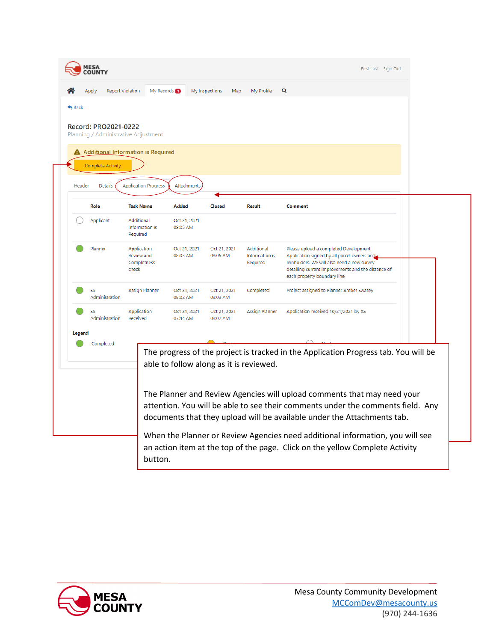|        | Record: PRO2021-0222         | Planning / Administrative Adjustment<br>A Additional Information is Required |                                         |                          |                                          |                                                                                                                                                                                                                                       |  |
|--------|------------------------------|------------------------------------------------------------------------------|-----------------------------------------|--------------------------|------------------------------------------|---------------------------------------------------------------------------------------------------------------------------------------------------------------------------------------------------------------------------------------|--|
| Header | Complete Activity<br>Details | <b>Application Progress</b>                                                  | Attachments                             |                          |                                          |                                                                                                                                                                                                                                       |  |
|        | Role                         | <b>Task Name</b>                                                             | <b>Added</b>                            | <b>Closed</b>            | <b>Result</b>                            | Comment                                                                                                                                                                                                                               |  |
|        | Applicant                    | Additional<br>Information is<br>Required                                     | Oct 21, 2021<br>08:05 AM                |                          |                                          |                                                                                                                                                                                                                                       |  |
|        | Planner                      | Application<br>Review and<br>Completness<br>check                            | Oct 21, 2021<br>08:03 AM                | Oct 21, 2021<br>08:05 AM | Additional<br>Information is<br>Required | Please upload a completed Development<br>Application signed by all parcel owners and<br>leinholders. We will also need a new survey<br>detailing current improvements and the distance of<br>each property boundary line.             |  |
|        | SS<br>Administration         | Assign Planner                                                               | Oct 21, 2021<br>08:02 AM                | Oct 21, 2021<br>08:03 AM | Completed                                | Project assigned to Planner Amber Swasey                                                                                                                                                                                              |  |
|        | SS<br>Administration         | Application<br>Received                                                      | Oct 21, 2021<br>07:44 AM                | Oct 21, 2021<br>08:02 AM | <b>Assign Planner</b>                    | Application received 10/21/2021 by AS                                                                                                                                                                                                 |  |
| Legend | Completed                    |                                                                              |                                         |                          |                                          |                                                                                                                                                                                                                                       |  |
|        |                              |                                                                              | able to follow along as it is reviewed. |                          |                                          | The progress of the project is tracked in the Application Progress tab. You will be                                                                                                                                                   |  |
|        |                              |                                                                              |                                         |                          |                                          | The Planner and Review Agencies will upload comments that may need your<br>attention. You will be able to see their comments under the comments field. Any<br>documents that they upload will be available under the Attachments tab. |  |

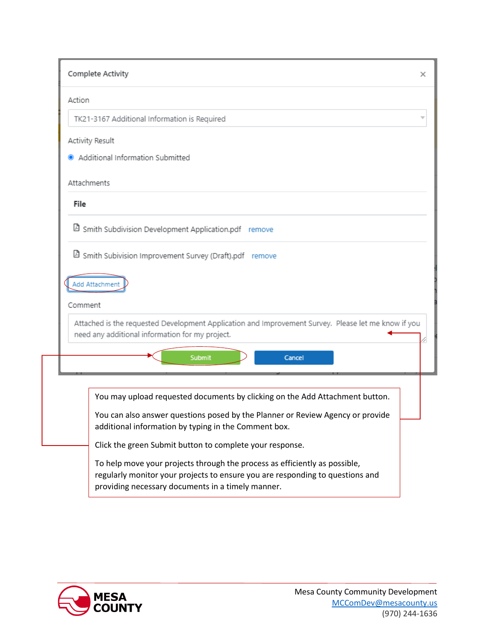|         | Complete Activity                                                                                                                                                        | x |
|---------|--------------------------------------------------------------------------------------------------------------------------------------------------------------------------|---|
| Action  |                                                                                                                                                                          |   |
|         | TK21-3167 Additional Information is Required                                                                                                                             |   |
|         | Activity Result                                                                                                                                                          |   |
|         | Additional Information Submitted                                                                                                                                         |   |
|         | Attachments                                                                                                                                                              |   |
| File    |                                                                                                                                                                          |   |
|         | <b>D</b> Smith Subdivision Development Application.pdf remove                                                                                                            |   |
| Comment | Add Attachment<br>Attached is the requested Development Application and Improvement Survey. Please let me know if you<br>need any additional information for my project. |   |
|         | Submit<br>Cancel                                                                                                                                                         |   |
|         | You may upload requested documents by clicking on the Add Attachment button.                                                                                             |   |
|         | You can also answer questions posed by the Planner or Review Agency or provide<br>additional information by typing in the Comment box.                                   |   |
|         | Click the green Submit button to complete your response.                                                                                                                 |   |
|         | To help move your projects through the process as efficiently as possible,                                                                                               |   |